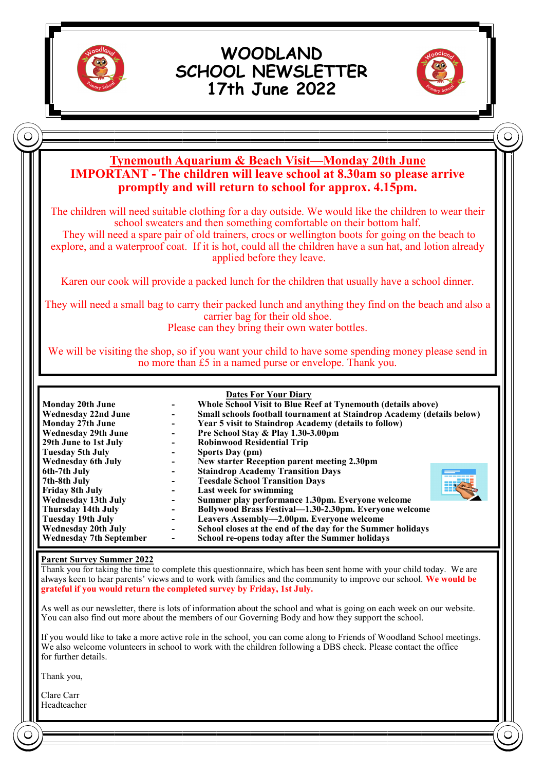

# **WOODLAND SCHOOL NEWSLETTER 17th June 2022**



 $\subset$ 

# **Tynemouth Aquarium & Beach Visit—Monday 20th June IMPORTANT - The children will leave school at 8.30am so please arrive promptly and will return to school for approx. 4.15pm.**

The children will need suitable clothing for a day outside. We would like the children to wear their school sweaters and then something comfortable on their bottom half.

They will need a spare pair of old trainers, crocs or wellington boots for going on the beach to explore, and a waterproof coat. If it is hot, could all the children have a sun hat, and lotion already applied before they leave.

Karen our cook will provide a packed lunch for the children that usually have a school dinner.

They will need a small bag to carry their packed lunch and anything they find on the beach and also a carrier bag for their old shoe.

Please can they bring their own water bottles.

We will be visiting the shop, so if you want your child to have some spending money please send in no more than £5 in a named purse or envelope. Thank you.

| <b>Monday 20th June</b><br><b>Wednesday 22nd June</b> | $\overline{\phantom{a}}$<br>$\overline{\phantom{a}}$ | <b>Dates For Your Diary</b><br>Whole School Visit to Blue Reef at Tynemouth (details above)<br>Small schools football tournament at Staindrop Academy (details below) |  |
|-------------------------------------------------------|------------------------------------------------------|-----------------------------------------------------------------------------------------------------------------------------------------------------------------------|--|
| <b>Monday 27th June</b>                               |                                                      | Year 5 visit to Staindrop Academy (details to follow)                                                                                                                 |  |
| <b>Wednesday 29th June</b>                            | $\overline{\phantom{a}}$                             | Pre School Stay & Play 1.30-3.00pm                                                                                                                                    |  |
| 29th June to 1st July                                 |                                                      | <b>Robinwood Residential Trip</b>                                                                                                                                     |  |
| Tuesday 5th July                                      |                                                      | Sports Day (pm)                                                                                                                                                       |  |
| <b>Wednesday 6th July</b>                             |                                                      | New starter Reception parent meeting 2.30pm                                                                                                                           |  |
| 6th-7th July                                          |                                                      | <b>Staindrop Academy Transition Days</b>                                                                                                                              |  |
| 7th-8th July                                          |                                                      | <b>Teesdale School Transition Days</b>                                                                                                                                |  |
| <b>Friday 8th July</b>                                |                                                      | Last week for swimming                                                                                                                                                |  |
| <b>Wednesday 13th July</b>                            |                                                      | Summer play performance 1.30pm. Everyone welcome                                                                                                                      |  |
| Thursday 14th July                                    | $\overline{\phantom{a}}$                             | Bollywood Brass Festival—1.30-2.30pm. Everyone welcome                                                                                                                |  |
| <b>Tuesday 19th July</b>                              | $\overline{\phantom{a}}$                             | Leavers Assembly—2.00pm. Everyone welcome                                                                                                                             |  |
| <b>Wednesday 20th July</b>                            | $\overline{\phantom{a}}$                             | School closes at the end of the day for the Summer holidays                                                                                                           |  |
| <b>Wednesday 7th September</b>                        |                                                      | School re-opens today after the Summer holidays                                                                                                                       |  |

#### **Parent Survey Summer 2022**

Thank you for taking the time to complete this questionnaire, which has been sent home with your child today. We are always keen to hear parents' views and to work with families and the community to improve our school. **We would be grateful if you would return the completed survey by Friday, 1st July.**

As well as our newsletter, there is lots of information about the school and what is going on each week on our website. You can also find out more about the members of our Governing Body and how they support the school.

If you would like to take a more active role in the school, you can come along to Friends of Woodland School meetings. We also welcome volunteers in school to work with the children following a DBS check. Please contact the office for further details.

Thank you,

Clare Carr Headteacher